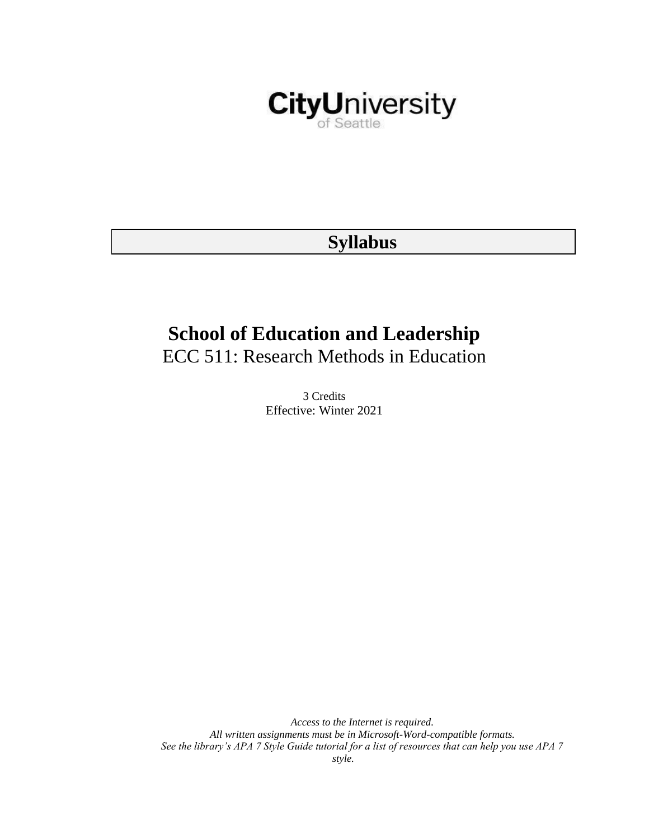

## **Syllabus**

# **School of Education and Leadership**

ECC 511: Research Methods in Education

3 Credits Effective: Winter 2021

*Access to the Internet is required. All written assignments must be in Microsoft-Word-compatible formats. See the library's APA 7 Style Guide tutorial for a list of resources that can help you use APA 7 style.*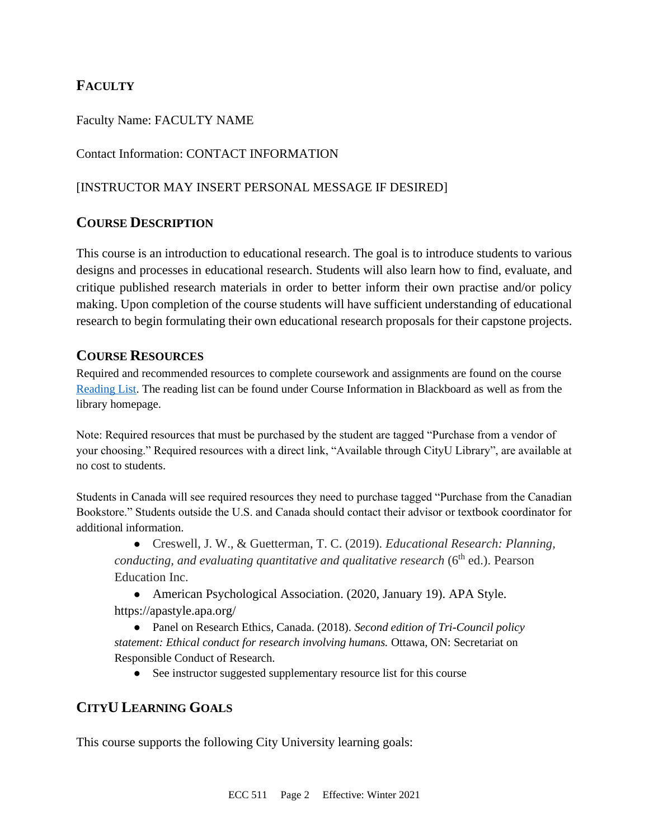## **FACULTY**

#### Faculty Name: FACULTY NAME

## Contact Information: CONTACT INFORMATION

#### [INSTRUCTOR MAY INSERT PERSONAL MESSAGE IF DESIRED]

## **COURSE DESCRIPTION**

This course is an introduction to educational research. The goal is to introduce students to various designs and processes in educational research. Students will also learn how to find, evaluate, and critique published research materials in order to better inform their own practise and/or policy making. Upon completion of the course students will have sufficient understanding of educational research to begin formulating their own educational research proposals for their capstone projects.

#### **COURSE RESOURCES**

Required and recommended resources to complete coursework and assignments are found on the course [Reading List.](https://nam03.safelinks.protection.outlook.com/?url=https%3A%2F%2Fcityu.alma.exlibrisgroup.com%2Fleganto%2Flogin%3Fauth%3DSAML&data=04%7C01%7CMMara%40cityu.edu%7C70673ce0fe0144040eda08d87472e204%7Cb3fa96d9f5154662add763d854e39e63%7C1%7C0%7C637387384066198115%7CUnknown%7CTWFpbGZsb3d8eyJWIjoiMC4wLjAwMDAiLCJQIjoiV2luMzIiLCJBTiI6Ik1haWwiLCJXVCI6Mn0%3D%7C1000&sdata=JbwP%2Fm5Q%2BMgIUWa%2FXceos%2BoiLv0DX%2B%2FL%2BNGNMbX9P8E%3D&reserved=0) The reading list can be found under Course Information in Blackboard as well as from the library homepage.

Note: Required resources that must be purchased by the student are tagged "Purchase from a vendor of your choosing." Required resources with a direct link, "Available through CityU Library", are available at no cost to students.

Students in Canada will see required resources they need to purchase tagged "Purchase from the Canadian Bookstore." Students outside the U.S. and Canada should contact their advisor or textbook coordinator for additional information.

● Creswell, J. W., & Guetterman, T. C. (2019). *Educational Research: Planning, conducting, and evaluating quantitative and qualitative research* (6<sup>th</sup> ed.). Pearson Education Inc.

• American Psychological Association. (2020, January 19). APA Style. <https://apastyle.apa.org/>

● Panel on Research Ethics, Canada. (2018). *Second edition of Tri-Council policy statement: Ethical conduct for research involving humans.* Ottawa, ON: Secretariat on Responsible Conduct of Research.

• See instructor suggested supplementary resource list for this course

## **CITYU LEARNING GOALS**

This course supports the following City University learning goals: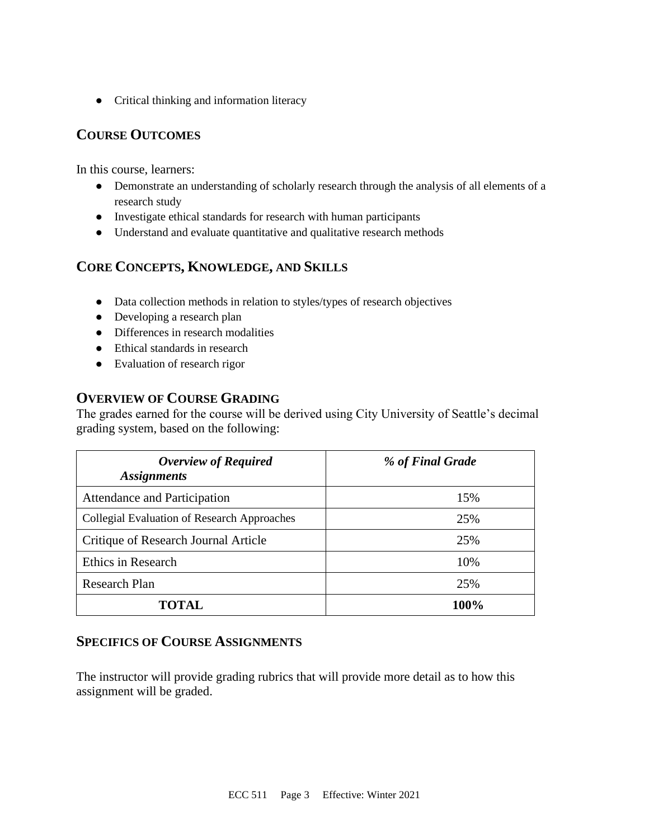● Critical thinking and information literacy

## **COURSE OUTCOMES**

In this course, learners:

- Demonstrate an understanding of scholarly research through the analysis of all elements of a research study
- Investigate ethical standards for research with human participants
- Understand and evaluate quantitative and qualitative research methods

## **CORE CONCEPTS, KNOWLEDGE, AND SKILLS**

- Data collection methods in relation to styles/types of research objectives
- Developing a research plan
- Differences in research modalities
- Ethical standards in research
- Evaluation of research rigor

## **OVERVIEW OF COURSE GRADING**

The grades earned for the course will be derived using City University of Seattle's decimal grading system, based on the following:

| <b>Overview of Required</b><br><b>Assignments</b> | % of Final Grade |
|---------------------------------------------------|------------------|
| Attendance and Participation                      | 15%              |
| Collegial Evaluation of Research Approaches       | 25%              |
| Critique of Research Journal Article              | 25%              |
| Ethics in Research                                | 10%              |
| <b>Research Plan</b>                              | 25%              |
| TOTAL.                                            | 100%             |

#### **SPECIFICS OF COURSE ASSIGNMENTS**

The instructor will provide grading rubrics that will provide more detail as to how this assignment will be graded.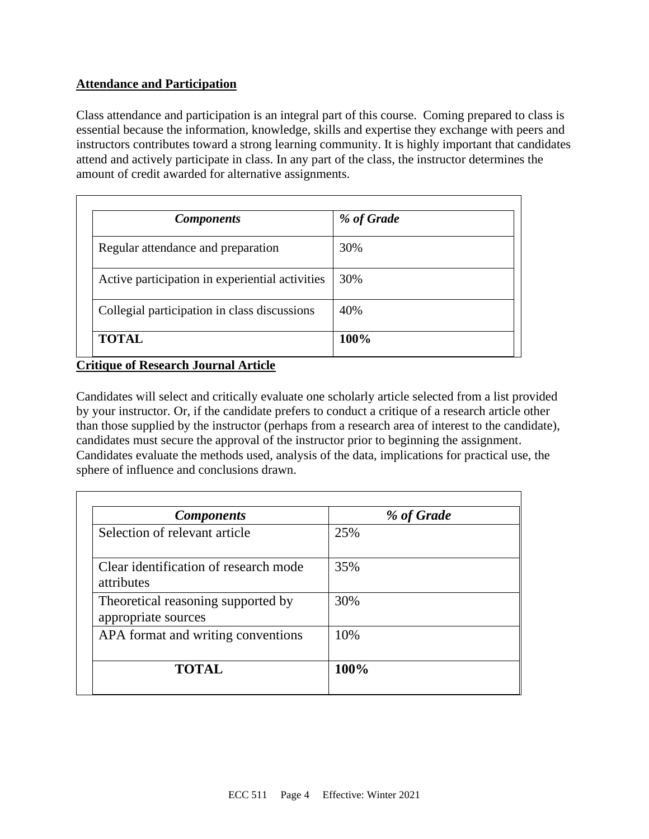## **Attendance and Participation**

Class attendance and participation is an integral part of this course. Coming prepared to class is essential because the information, knowledge, skills and expertise they exchange with peers and instructors contributes toward a strong learning community. It is highly important that candidates attend and actively participate in class. In any part of the class, the instructor determines the amount of credit awarded for alternative assignments.

| <b>Components</b>                               | % of Grade |
|-------------------------------------------------|------------|
| Regular attendance and preparation              | 30%        |
| Active participation in experiential activities | 30%        |
| Collegial participation in class discussions    | 40%        |
| <b>TOTAL</b>                                    | 100%       |

**Critique of Research Journal Article**

Candidates will select and critically evaluate one scholarly article selected from a list provided by your instructor. Or, if the candidate prefers to conduct a critique of a research article other than those supplied by the instructor (perhaps from a research area of interest to the candidate), candidates must secure the approval of the instructor prior to beginning the assignment. Candidates evaluate the methods used, analysis of the data, implications for practical use, the sphere of influence and conclusions drawn.

| <b>Components</b>                                         | % of Grade |
|-----------------------------------------------------------|------------|
| Selection of relevant article                             | 25%        |
| Clear identification of research mode<br>attributes       | 35%        |
| Theoretical reasoning supported by<br>appropriate sources | 30%        |
| APA format and writing conventions                        | 10%        |
| <b>TOTAL</b>                                              | 100%       |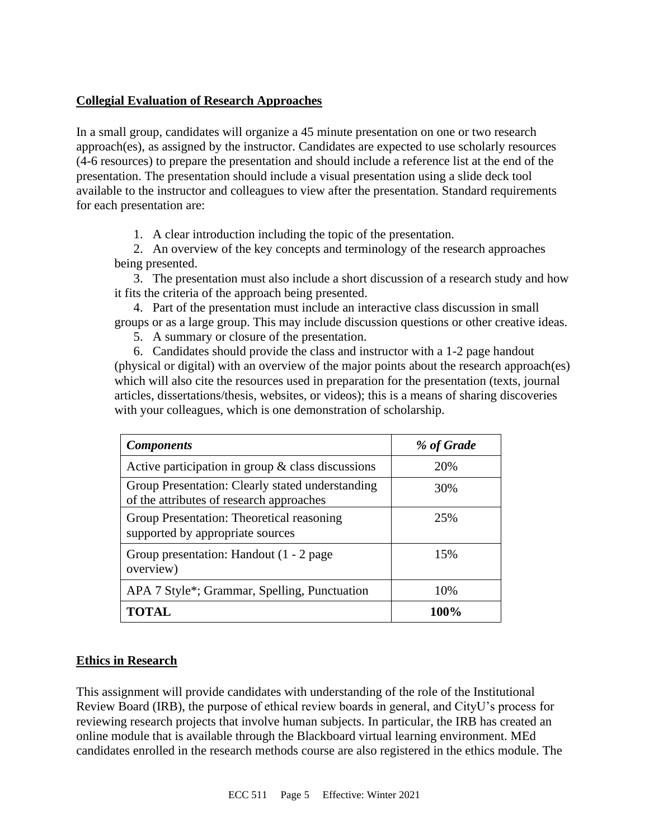#### **Collegial Evaluation of Research Approaches**

In a small group, candidates will organize a 45 minute presentation on one or two research approach(es), as assigned by the instructor. Candidates are expected to use scholarly resources (4-6 resources) to prepare the presentation and should include a reference list at the end of the presentation. The presentation should include a visual presentation using a slide deck tool available to the instructor and colleagues to view after the presentation. Standard requirements for each presentation are:

1. A clear introduction including the topic of the presentation.

2. An overview of the key concepts and terminology of the research approaches being presented.

3. The presentation must also include a short discussion of a research study and how it fits the criteria of the approach being presented.

4. Part of the presentation must include an interactive class discussion in small groups or as a large group. This may include discussion questions or other creative ideas.

5. A summary or closure of the presentation.

6. Candidates should provide the class and instructor with a 1-2 page handout (physical or digital) with an overview of the major points about the research approach(es) which will also cite the resources used in preparation for the presentation (texts, journal articles, dissertations/thesis, websites, or videos); this is a means of sharing discoveries with your colleagues, which is one demonstration of scholarship.

| <b>Components</b>                                                                            | % of Grade |
|----------------------------------------------------------------------------------------------|------------|
| Active participation in group $\&$ class discussions                                         | 20%        |
| Group Presentation: Clearly stated understanding<br>of the attributes of research approaches | 30%        |
| Group Presentation: Theoretical reasoning<br>supported by appropriate sources                | 25%        |
| Group presentation: Handout (1 - 2 page)<br>overview)                                        | 15%        |
| APA 7 Style*; Grammar, Spelling, Punctuation                                                 | 10%        |
| TOTAL                                                                                        | 100%       |

#### **Ethics in Research**

This assignment will provide candidates with understanding of the role of the Institutional Review Board (IRB), the purpose of ethical review boards in general, and CityU's process for reviewing research projects that involve human subjects. In particular, the IRB has created an online module that is available through the Blackboard virtual learning environment. MEd candidates enrolled in the research methods course are also registered in the ethics module. The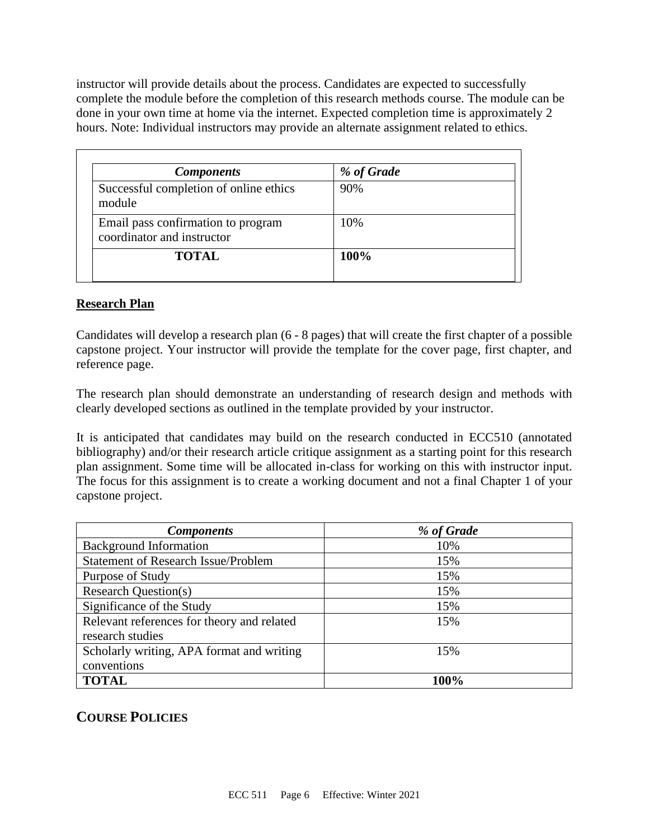instructor will provide details about the process. Candidates are expected to successfully complete the module before the completion of this research methods course. The module can be done in your own time at home via the internet. Expected completion time is approximately 2 hours. Note: Individual instructors may provide an alternate assignment related to ethics.

| <b>Components</b>                                                | % of Grade |  |
|------------------------------------------------------------------|------------|--|
| Successful completion of online ethics<br>module                 | 90%        |  |
| Email pass confirmation to program<br>coordinator and instructor | 10%        |  |
| <b>TOTAL</b>                                                     | 100%       |  |

#### **Research Plan**

Candidates will develop a research plan (6 - 8 pages) that will create the first chapter of a possible capstone project. Your instructor will provide the template for the cover page, first chapter, and reference page.

The research plan should demonstrate an understanding of research design and methods with clearly developed sections as outlined in the template provided by your instructor.

It is anticipated that candidates may build on the research conducted in ECC510 (annotated bibliography) and/or their research article critique assignment as a starting point for this research plan assignment. Some time will be allocated in-class for working on this with instructor input. The focus for this assignment is to create a working document and not a final Chapter 1 of your capstone project.

| <b>Components</b>                          | % of Grade |
|--------------------------------------------|------------|
| <b>Background Information</b>              | 10%        |
| <b>Statement of Research Issue/Problem</b> | 15%        |
| Purpose of Study                           | 15%        |
| <b>Research Question(s)</b>                | 15%        |
| Significance of the Study                  | 15%        |
| Relevant references for theory and related | 15%        |
| research studies                           |            |
| Scholarly writing, APA format and writing  | 15%        |
| conventions                                |            |
| <b>TOTAL</b>                               | 100%       |

## **COURSE POLICIES**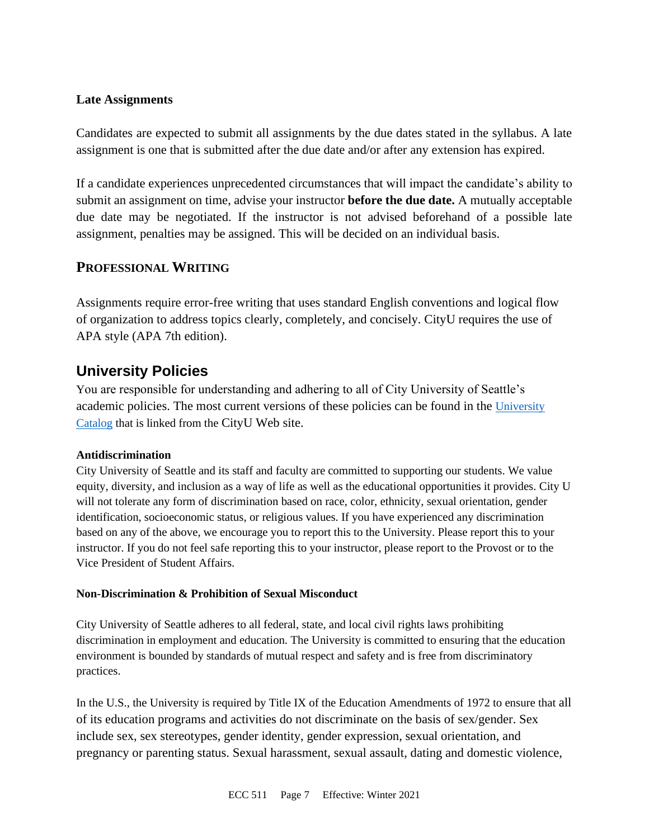#### **Late Assignments**

Candidates are expected to submit all assignments by the due dates stated in the syllabus. A late assignment is one that is submitted after the due date and/or after any extension has expired.

If a candidate experiences unprecedented circumstances that will impact the candidate's ability to submit an assignment on time, advise your instructor **before the due date.** A mutually acceptable due date may be negotiated. If the instructor is not advised beforehand of a possible late assignment, penalties may be assigned. This will be decided on an individual basis.

## **PROFESSIONAL WRITING**

Assignments require error-free writing that uses standard English conventions and logical flow of organization to address topics clearly, completely, and concisely. CityU requires the use of APA style (APA 7th edition).

## **University Policies**

You are responsible for understanding and adhering to all of City University of Seattle's academic policies. The most current versions of these policies can be found in the University [Catalog](https://www.cityu.edu/catalog/) that is linked from the CityU Web site.

#### **Antidiscrimination**

City University of Seattle and its staff and faculty are committed to supporting our students. We value equity, diversity, and inclusion as a way of life as well as the educational opportunities it provides. City U will not tolerate any form of discrimination based on race, color, ethnicity, sexual orientation, gender identification, socioeconomic status, or religious values. If you have experienced any discrimination based on any of the above, we encourage you to report this to the University. Please report this to your instructor. If you do not feel safe reporting this to your instructor, please report to the Provost or to the Vice President of Student Affairs.

#### **Non-Discrimination & Prohibition of Sexual Misconduct**

City University of Seattle adheres to all federal, state, and local civil rights laws prohibiting discrimination in employment and education. The University is committed to ensuring that the education environment is bounded by standards of mutual respect and safety and is free from discriminatory practices.

In the U.S., the University is required by Title IX of the Education Amendments of 1972 to ensure that all of its education programs and activities do not discriminate on the basis of sex/gender. Sex include sex, sex stereotypes, gender identity, gender expression, sexual orientation, and pregnancy or parenting status. Sexual harassment, sexual assault, dating and domestic violence,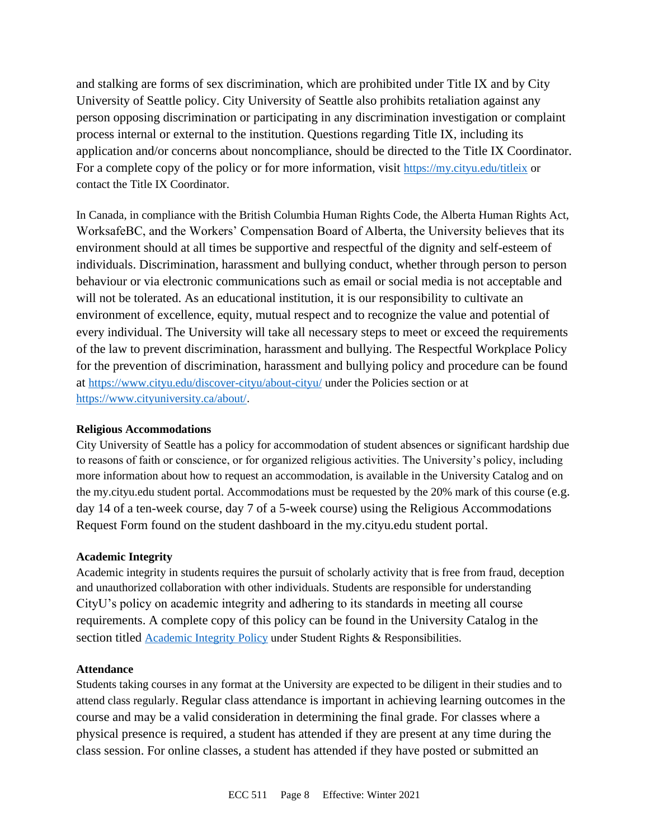and stalking are forms of sex discrimination, which are prohibited under Title IX and by City University of Seattle policy. City University of Seattle also prohibits retaliation against any person opposing discrimination or participating in any discrimination investigation or complaint process internal or external to the institution. Questions regarding Title IX, including its application and/or concerns about noncompliance, should be directed to the Title IX Coordinator. For a complete copy of the policy or for more information, visit <https://my.cityu.edu/titleix> or contact the Title IX Coordinator.

In Canada, in compliance with the British Columbia Human Rights Code, the Alberta Human Rights Act, WorksafeBC, and the Workers' Compensation Board of Alberta, the University believes that its environment should at all times be supportive and respectful of the dignity and self-esteem of individuals. Discrimination, harassment and bullying conduct, whether through person to person behaviour or via electronic communications such as email or social media is not acceptable and will not be tolerated. As an educational institution, it is our responsibility to cultivate an environment of excellence, equity, mutual respect and to recognize the value and potential of every individual. The University will take all necessary steps to meet or exceed the requirements of the law to prevent discrimination, harassment and bullying. The Respectful Workplace Policy for the prevention of discrimination, harassment and bullying policy and procedure can be found at <https://www.cityu.edu/discover-cityu/about-cityu/> under the Policies section or at <https://www.cityuniversity.ca/about/>.

#### **Religious Accommodations**

City University of Seattle has a policy for accommodation of student absences or significant hardship due to reasons of faith or conscience, or for organized religious activities. The University's policy, including more information about how to request an accommodation, is available in the University Catalog and on the my.cityu.edu student portal. Accommodations must be requested by the 20% mark of this course (e.g. day 14 of a ten-week course, day 7 of a 5-week course) using the Religious Accommodations Request Form found on the student dashboard in the my.cityu.edu student portal.

#### **Academic Integrity**

Academic integrity in students requires the pursuit of scholarly activity that is free from fraud, deception and unauthorized collaboration with other individuals. Students are responsible for understanding CityU's policy on academic integrity and adhering to its standards in meeting all course requirements. A complete copy of this policy can be found in the University Catalog in the section titled [Academic Integrity Policy](https://www.cityu.edu/catalog/;) under Student Rights & Responsibilities.

#### **Attendance**

Students taking courses in any format at the University are expected to be diligent in their studies and to attend class regularly. Regular class attendance is important in achieving learning outcomes in the course and may be a valid consideration in determining the final grade. For classes where a physical presence is required, a student has attended if they are present at any time during the class session. For online classes, a student has attended if they have posted or submitted an